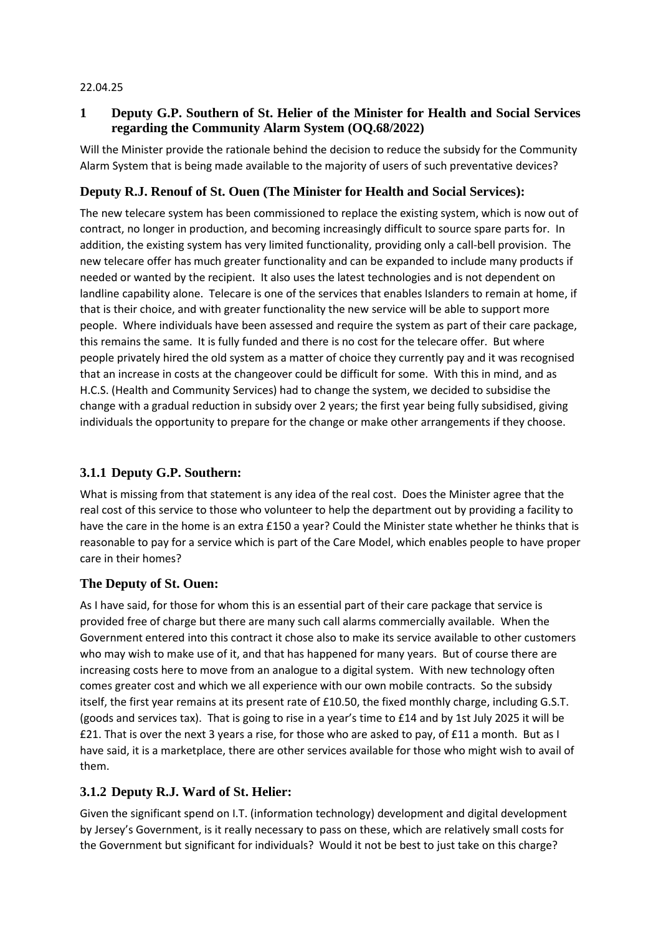#### 22.04.25

### **1 Deputy G.P. Southern of St. Helier of the Minister for Health and Social Services regarding the Community Alarm System (OQ.68/2022)**

Will the Minister provide the rationale behind the decision to reduce the subsidy for the Community Alarm System that is being made available to the majority of users of such preventative devices?

### **Deputy R.J. Renouf of St. Ouen (The Minister for Health and Social Services):**

The new telecare system has been commissioned to replace the existing system, which is now out of contract, no longer in production, and becoming increasingly difficult to source spare parts for. In addition, the existing system has very limited functionality, providing only a call-bell provision. The new telecare offer has much greater functionality and can be expanded to include many products if needed or wanted by the recipient. It also uses the latest technologies and is not dependent on landline capability alone. Telecare is one of the services that enables Islanders to remain at home, if that is their choice, and with greater functionality the new service will be able to support more people. Where individuals have been assessed and require the system as part of their care package, this remains the same. It is fully funded and there is no cost for the telecare offer. But where people privately hired the old system as a matter of choice they currently pay and it was recognised that an increase in costs at the changeover could be difficult for some. With this in mind, and as H.C.S. (Health and Community Services) had to change the system, we decided to subsidise the change with a gradual reduction in subsidy over 2 years; the first year being fully subsidised, giving individuals the opportunity to prepare for the change or make other arrangements if they choose.

# **3.1.1 Deputy G.P. Southern:**

What is missing from that statement is any idea of the real cost. Does the Minister agree that the real cost of this service to those who volunteer to help the department out by providing a facility to have the care in the home is an extra £150 a year? Could the Minister state whether he thinks that is reasonable to pay for a service which is part of the Care Model, which enables people to have proper care in their homes?

### **The Deputy of St. Ouen:**

As I have said, for those for whom this is an essential part of their care package that service is provided free of charge but there are many such call alarms commercially available. When the Government entered into this contract it chose also to make its service available to other customers who may wish to make use of it, and that has happened for many years. But of course there are increasing costs here to move from an analogue to a digital system. With new technology often comes greater cost and which we all experience with our own mobile contracts. So the subsidy itself, the first year remains at its present rate of £10.50, the fixed monthly charge, including G.S.T. (goods and services tax). That is going to rise in a year's time to £14 and by 1st July 2025 it will be £21. That is over the next 3 years a rise, for those who are asked to pay, of £11 a month. But as I have said, it is a marketplace, there are other services available for those who might wish to avail of them.

# **3.1.2 Deputy R.J. Ward of St. Helier:**

Given the significant spend on I.T. (information technology) development and digital development by Jersey's Government, is it really necessary to pass on these, which are relatively small costs for the Government but significant for individuals? Would it not be best to just take on this charge?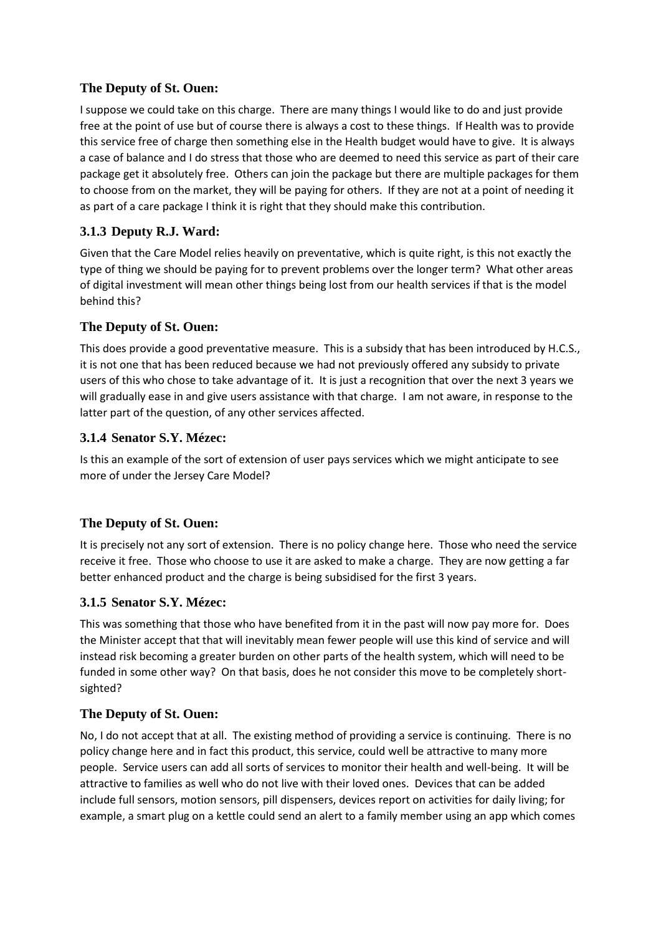### **The Deputy of St. Ouen:**

I suppose we could take on this charge. There are many things I would like to do and just provide free at the point of use but of course there is always a cost to these things. If Health was to provide this service free of charge then something else in the Health budget would have to give. It is always a case of balance and I do stress that those who are deemed to need this service as part of their care package get it absolutely free. Others can join the package but there are multiple packages for them to choose from on the market, they will be paying for others. If they are not at a point of needing it as part of a care package I think it is right that they should make this contribution.

# **3.1.3 Deputy R.J. Ward:**

Given that the Care Model relies heavily on preventative, which is quite right, is this not exactly the type of thing we should be paying for to prevent problems over the longer term? What other areas of digital investment will mean other things being lost from our health services if that is the model behind this?

### **The Deputy of St. Ouen:**

This does provide a good preventative measure. This is a subsidy that has been introduced by H.C.S., it is not one that has been reduced because we had not previously offered any subsidy to private users of this who chose to take advantage of it. It is just a recognition that over the next 3 years we will gradually ease in and give users assistance with that charge. I am not aware, in response to the latter part of the question, of any other services affected.

#### **3.1.4 Senator S.Y. Mézec:**

Is this an example of the sort of extension of user pays services which we might anticipate to see more of under the Jersey Care Model?

### **The Deputy of St. Ouen:**

It is precisely not any sort of extension. There is no policy change here. Those who need the service receive it free. Those who choose to use it are asked to make a charge. They are now getting a far better enhanced product and the charge is being subsidised for the first 3 years.

### **3.1.5 Senator S.Y. Mézec:**

This was something that those who have benefited from it in the past will now pay more for. Does the Minister accept that that will inevitably mean fewer people will use this kind of service and will instead risk becoming a greater burden on other parts of the health system, which will need to be funded in some other way? On that basis, does he not consider this move to be completely shortsighted?

#### **The Deputy of St. Ouen:**

No, I do not accept that at all. The existing method of providing a service is continuing. There is no policy change here and in fact this product, this service, could well be attractive to many more people. Service users can add all sorts of services to monitor their health and well-being. It will be attractive to families as well who do not live with their loved ones. Devices that can be added include full sensors, motion sensors, pill dispensers, devices report on activities for daily living; for example, a smart plug on a kettle could send an alert to a family member using an app which comes